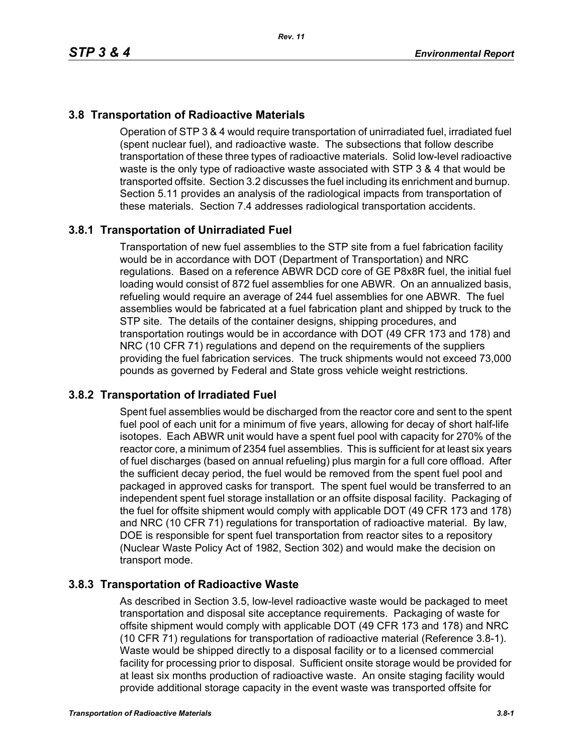# **3.8 Transportation of Radioactive Materials**

Operation of STP 3 & 4 would require transportation of unirradiated fuel, irradiated fuel (spent nuclear fuel), and radioactive waste. The subsections that follow describe transportation of these three types of radioactive materials. Solid low-level radioactive waste is the only type of radioactive waste associated with STP 3 & 4 that would be transported offsite. Section 3.2 discusses the fuel including its enrichment and burnup. Section 5.11 provides an analysis of the radiological impacts from transportation of these materials. Section 7.4 addresses radiological transportation accidents.

## **3.8.1 Transportation of Unirradiated Fuel**

Transportation of new fuel assemblies to the STP site from a fuel fabrication facility would be in accordance with DOT (Department of Transportation) and NRC regulations. Based on a reference ABWR DCD core of GE P8x8R fuel, the initial fuel loading would consist of 872 fuel assemblies for one ABWR. On an annualized basis, refueling would require an average of 244 fuel assemblies for one ABWR. The fuel assemblies would be fabricated at a fuel fabrication plant and shipped by truck to the STP site. The details of the container designs, shipping procedures, and transportation routings would be in accordance with DOT (49 CFR 173 and 178) and NRC (10 CFR 71) regulations and depend on the requirements of the suppliers providing the fuel fabrication services. The truck shipments would not exceed 73,000 pounds as governed by Federal and State gross vehicle weight restrictions.

#### **3.8.2 Transportation of Irradiated Fuel**

Spent fuel assemblies would be discharged from the reactor core and sent to the spent fuel pool of each unit for a minimum of five years, allowing for decay of short half-life isotopes. Each ABWR unit would have a spent fuel pool with capacity for 270% of the reactor core, a minimum of 2354 fuel assemblies. This is sufficient for at least six years of fuel discharges (based on annual refueling) plus margin for a full core offload. After the sufficient decay period, the fuel would be removed from the spent fuel pool and packaged in approved casks for transport. The spent fuel would be transferred to an independent spent fuel storage installation or an offsite disposal facility. Packaging of the fuel for offsite shipment would comply with applicable DOT (49 CFR 173 and 178) and NRC (10 CFR 71) regulations for transportation of radioactive material. By law, DOE is responsible for spent fuel transportation from reactor sites to a repository (Nuclear Waste Policy Act of 1982, Section 302) and would make the decision on transport mode.

#### **3.8.3 Transportation of Radioactive Waste**

As described in Section 3.5, low-level radioactive waste would be packaged to meet transportation and disposal site acceptance requirements. Packaging of waste for offsite shipment would comply with applicable DOT (49 CFR 173 and 178) and NRC (10 CFR 71) regulations for transportation of radioactive material (Reference 3.8-1). Waste would be shipped directly to a disposal facility or to a licensed commercial facility for processing prior to disposal. Sufficient onsite storage would be provided for at least six months production of radioactive waste. An onsite staging facility would provide additional storage capacity in the event waste was transported offsite for